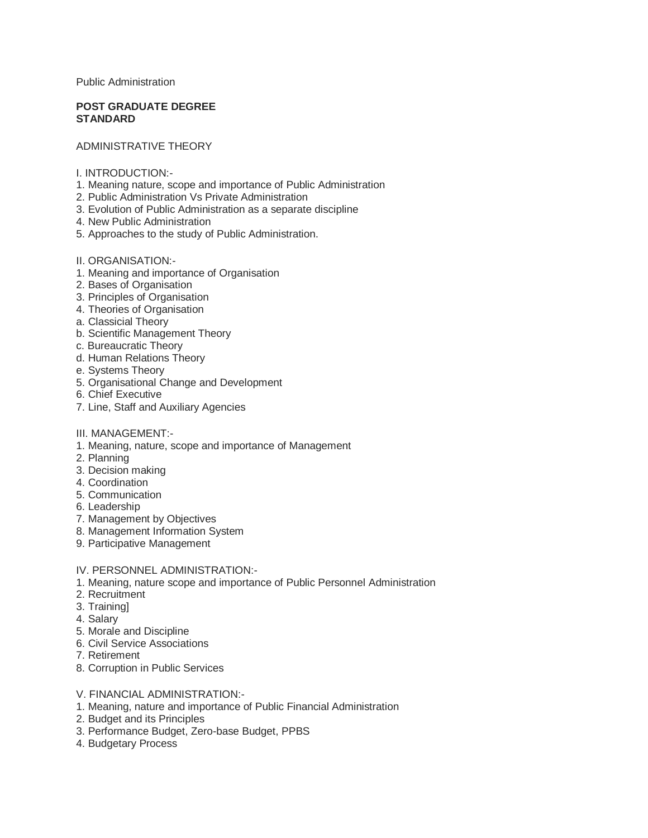Public Administration

### **POST GRADUATE DEGREE STANDARD**

## ADMINISTRATIVE THEORY

- I. INTRODUCTION:-
- 1. Meaning nature, scope and importance of Public Administration
- 2. Public Administration Vs Private Administration
- 3. Evolution of Public Administration as a separate discipline
- 4. New Public Administration
- 5. Approaches to the study of Public Administration.
- II. ORGANISATION:-
- 1. Meaning and importance of Organisation
- 2. Bases of Organisation
- 3. Principles of Organisation
- 4. Theories of Organisation
- a. Classicial Theory
- b. Scientific Management Theory
- c. Bureaucratic Theory
- d. Human Relations Theory
- e. Systems Theory
- 5. Organisational Change and Development
- 6. Chief Executive
- 7. Line, Staff and Auxiliary Agencies
- III. MANAGEMENT:-
- 1. Meaning, nature, scope and importance of Management
- 2. Planning
- 3. Decision making
- 4. Coordination
- 5. Communication
- 6. Leadership
- 7. Management by Objectives
- 8. Management Information System
- 9. Participative Management

### IV. PERSONNEL ADMINISTRATION:-

- 1. Meaning, nature scope and importance of Public Personnel Administration
- 2. Recruitment
- 3. Training]
- 4. Salary
- 5. Morale and Discipline
- 6. Civil Service Associations
- 7. Retirement
- 8. Corruption in Public Services
- V. FINANCIAL ADMINISTRATION:-
- 1. Meaning, nature and importance of Public Financial Administration
- 2. Budget and its Principles
- 3. Performance Budget, Zero-base Budget, PPBS
- 4. Budgetary Process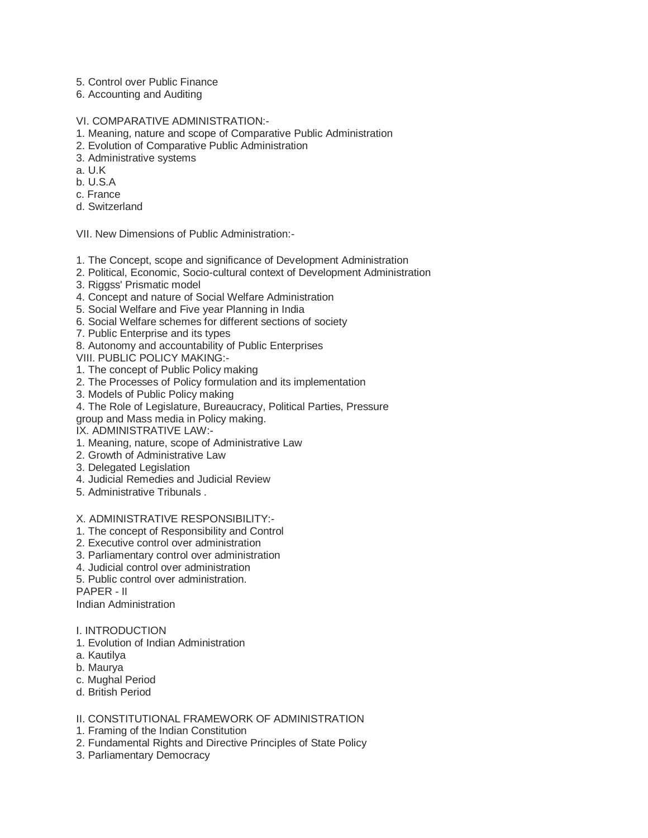- 5. Control over Public Finance
- 6. Accounting and Auditing
- VI. COMPARATIVE ADMINISTRATION:-
- 1. Meaning, nature and scope of Comparative Public Administration
- 2. Evolution of Comparative Public Administration
- 3. Administrative systems
- a. U.K
- b. U.S.A
- c. France
- d. Switzerland

VII. New Dimensions of Public Administration:-

- 1. The Concept, scope and significance of Development Administration
- 2. Political, Economic, Socio-cultural context of Development Administration
- 3. Riggss' Prismatic model
- 4. Concept and nature of Social Welfare Administration
- 5. Social Welfare and Five year Planning in India
- 6. Social Welfare schemes for different sections of society
- 7. Public Enterprise and its types
- 8. Autonomy and accountability of Public Enterprises

VIII. PUBLIC POLICY MAKING:-

- 1. The concept of Public Policy making
- 2. The Processes of Policy formulation and its implementation
- 3. Models of Public Policy making
- 4. The Role of Legislature, Bureaucracy, Political Parties, Pressure
- group and Mass media in Policy making.
- IX. ADMINISTRATIVE LAW:-
- 1. Meaning, nature, scope of Administrative Law
- 2. Growth of Administrative Law
- 3. Delegated Legislation
- 4. Judicial Remedies and Judicial Review
- 5. Administrative Tribunals .

## X. ADMINISTRATIVE RESPONSIBILITY:-

- 1. The concept of Responsibility and Control
- 2. Executive control over administration
- 3. Parliamentary control over administration
- 4. Judicial control over administration
- 5. Public control over administration.
- PAPER II

Indian Administration

### I. INTRODUCTION

- 1. Evolution of Indian Administration
- a. Kautilya
- b. Maurya
- c. Mughal Period
- d. British Period

# II. CONSTITUTIONAL FRAMEWORK OF ADMINISTRATION

- 1. Framing of the Indian Constitution
- 2. Fundamental Rights and Directive Principles of State Policy
- 3. Parliamentary Democracy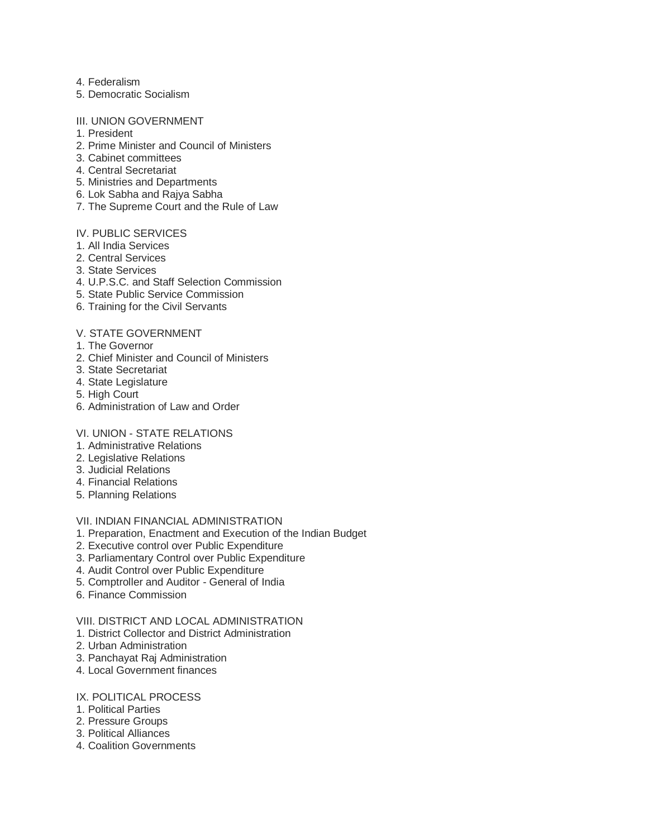- 4. Federalism
- 5. Democratic Socialism

#### III. UNION GOVERNMENT

- 1. President
- 2. Prime Minister and Council of Ministers
- 3. Cabinet committees
- 4. Central Secretariat
- 5. Ministries and Departments
- 6. Lok Sabha and Rajya Sabha
- 7. The Supreme Court and the Rule of Law

# IV. PUBLIC SERVICES

- 1. All India Services
- 2. Central Services
- 3. State Services
- 4. U.P.S.C. and Staff Selection Commission
- 5. State Public Service Commission
- 6. Training for the Civil Servants

## V. STATE GOVERNMENT

- 1. The Governor
- 2. Chief Minister and Council of Ministers
- 3. State Secretariat
- 4. State Legislature
- 5. High Court
- 6. Administration of Law and Order

### VI. UNION - STATE RELATIONS

- 1. Administrative Relations
- 2. Legislative Relations
- 3. Judicial Relations
- 4. Financial Relations
- 5. Planning Relations

## VII. INDIAN FINANCIAL ADMINISTRATION

- 1. Preparation, Enactment and Execution of the Indian Budget
- 2. Executive control over Public Expenditure
- 3. Parliamentary Control over Public Expenditure
- 4. Audit Control over Public Expenditure
- 5. Comptroller and Auditor General of India
- 6. Finance Commission

# VIII. DISTRICT AND LOCAL ADMINISTRATION

- 1. District Collector and District Administration
- 2. Urban Administration
- 3. Panchayat Raj Administration
- 4. Local Government finances
- IX. POLITICAL PROCESS
- 1. Political Parties
- 2. Pressure Groups
- 3. Political Alliances
- 4. Coalition Governments